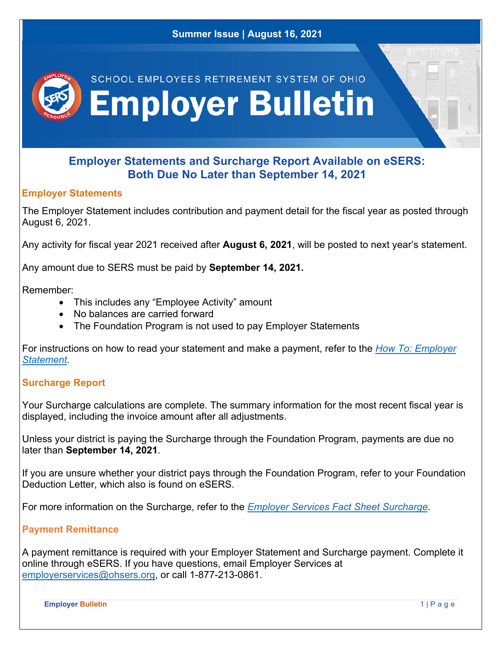

### **Both Due No Later than September 14, 2021**

#### **Employer Statements**

The Employer Statement includes contribution and payment detail for the fiscal year as posted through August 6, 2021.

Any activity for fiscal year 2021 received after **August 6, 2021**, will be posted to next year's statement.

Any amount due to SERS must be paid by **September 14, 2021.** 

Remember:

- This includes any "Employee Activity" amount
- No balances are carried forward
- The Foundation Program is not used to pay Employer Statements

For instructions on how to read your statement and make a payment, refer to the *How To: Employer Statement.* 

### **Surcharge Report**

Your Surcharge calculations are complete. The summary information for the most recent fiscal year is displayed, including the invoice amount after all adjustments.

Unless your district is paying the Surcharge through the Foundation Program, payments are due no later than **September 14, 2021**.

If you are unsure whether your district pays through the Foundation Program, refer to your Foundation Deduction Letter, which also is found on eSERS.

For more information on the Surcharge, refer to the *Employer Services Fact Sheet Surcharge*.

### **Payment Remittance**

A payment remittance is required with your Employer Statement and Surcharge payment. Complete it online through eSERS. If you have questions, email Employer Services at employerservices@ohsers.org, or call 1-877-213-0861.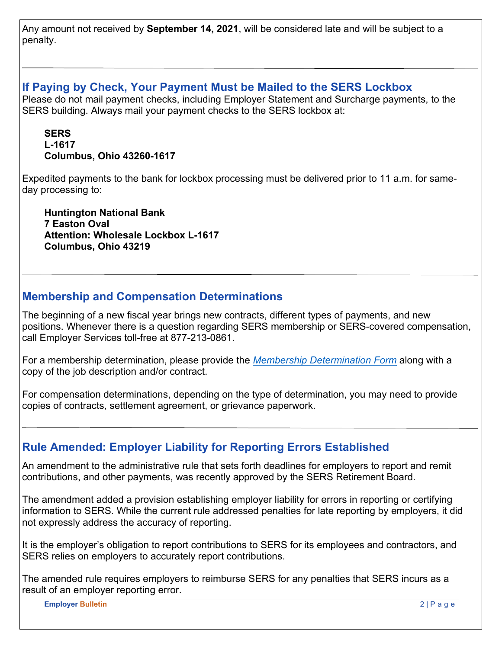Any amount not received by **September 14, 2021**, will be considered late and will be subject to a penalty.

### **If Paying by Check, Your Payment Must be Mailed to the SERS Lockbox**

Please do not mail payment checks, including Employer Statement and Surcharge payments, to the SERS building. Always mail your payment checks to the SERS lockbox at:

### **SERS L-1617 Columbus, Ohio 43260-1617**

Expedited payments to the bank for lockbox processing must be delivered prior to 11 a.m. for sameday processing to:

**Huntington National Bank 7 Easton Oval Attention: Wholesale Lockbox L-1617 Columbus, Ohio 43219** 

## **Membership and Compensation Determinations**

The beginning of a new fiscal year brings new contracts, different types of payments, and new positions. Whenever there is a question regarding SERS membership or SERS-covered compensation, call Employer Services toll-free at 877-213-0861.

For a membership determination, please provide the *Membership Determination Form* along with a copy of the job description and/or contract.

For compensation determinations, depending on the type of determination, you may need to provide copies of contracts, settlement agreement, or grievance paperwork.

# **Rule Amended: Employer Liability for Reporting Errors Established**

An amendment to the administrative rule that sets forth deadlines for employers to report and remit contributions, and other payments, was recently approved by the SERS Retirement Board.

The amendment added a provision establishing employer liability for errors in reporting or certifying information to SERS. While the current rule addressed penalties for late reporting by employers, it did not expressly address the accuracy of reporting.

It is the employer's obligation to report contributions to SERS for its employees and contractors, and SERS relies on employers to accurately report contributions.

The amended rule requires employers to reimburse SERS for any penalties that SERS incurs as a result of an employer reporting error.

**Employer Bulletin** 2 | P a g e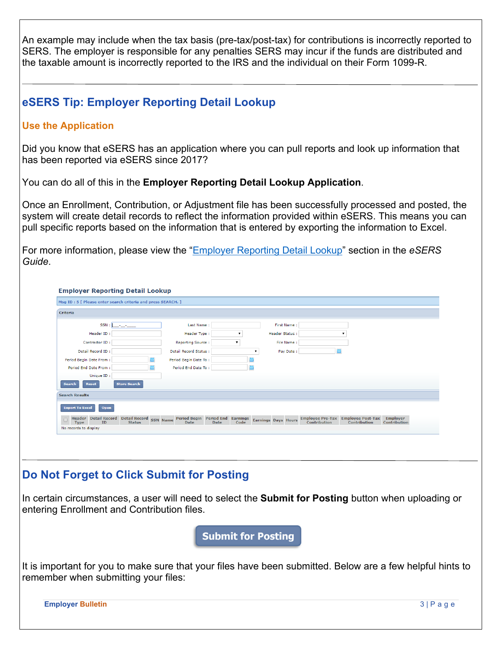An example may include when the tax basis (pre-tax/post-tax) for contributions is incorrectly reported to SERS. The employer is responsible for any penalties SERS may incur if the funds are distributed and the taxable amount is incorrectly reported to the IRS and the individual on their Form 1099-R.

## **eSERS Tip: Employer Reporting Detail Lookup**

#### **Use the Application**

Did you know that eSERS has an application where you can pull reports and look up information that has been reported via eSERS since 2017?

You can do all of this in the **Employer Reporting Detail Lookup Application**.

Once an Enrollment, Contribution, or Adjustment file has been successfully processed and posted, the system will create detail records to reflect the information provided within eSERS. This means you can pull specific reports based on the information that is entered by exporting the information to Excel.

For more information, please view the "Employer Reporting Detail Lookup" section in the *eSERS Guide*.

| Criteria                                                                                                      |                       |              |         |                            |              |                                                           |                                 |
|---------------------------------------------------------------------------------------------------------------|-----------------------|--------------|---------|----------------------------|--------------|-----------------------------------------------------------|---------------------------------|
| SSN:<br><u>an an an a</u>                                                                                     | Last Name:            |              |         | First Name:                |              |                                                           |                                 |
| Header ID:                                                                                                    | Header Type:          |              | $\cdot$ | <b>Header Status:</b>      |              | $\bullet$                                                 |                                 |
| Contractor ID:                                                                                                | Reporting Source:     | $\mathbf{v}$ |         | File Name:                 |              |                                                           |                                 |
| Detail Record ID:                                                                                             | Detail Record Status: |              |         | Pay Date:                  |              |                                                           |                                 |
| Period Begin Date From:                                                                                       | Period Begin Date To: |              |         |                            |              |                                                           |                                 |
| Period End Date From:                                                                                         | Period End Date To:   |              |         |                            |              |                                                           |                                 |
| Unique ID:                                                                                                    |                       |              |         |                            |              |                                                           |                                 |
| <b>Reset</b><br><b>Store Search</b><br><b>Search</b>                                                          |                       |              |         |                            |              |                                                           |                                 |
| <b>Search Results</b>                                                                                         |                       |              |         |                            |              |                                                           |                                 |
| <b>Export To Excel</b>                                                                                        |                       |              |         |                            |              |                                                           |                                 |
| Open                                                                                                          |                       |              |         |                            |              |                                                           |                                 |
| Header Detail Record Detail Record SSN Name Period Begin Period End Earnings<br>Type ID Status Date Date Code |                       |              |         | <b>Earnings Days Hours</b> | Contribution | <b>Employee Pre-Tax Employee Post-Tax</b><br>Contribution | <b>Employer</b><br>Contribution |
| No records to display                                                                                         |                       |              |         |                            |              |                                                           |                                 |

### **Do Not Forget to Click Submit for Posting**

In certain circumstances, a user will need to select the **Submit for Posting** button when uploading or entering Enrollment and Contribution files.

**Submit for Posting** 

It is important for you to make sure that your files have been submitted. Below are a few helpful hints to remember when submitting your files:

**Employer Bulletin** 3 | P a g e